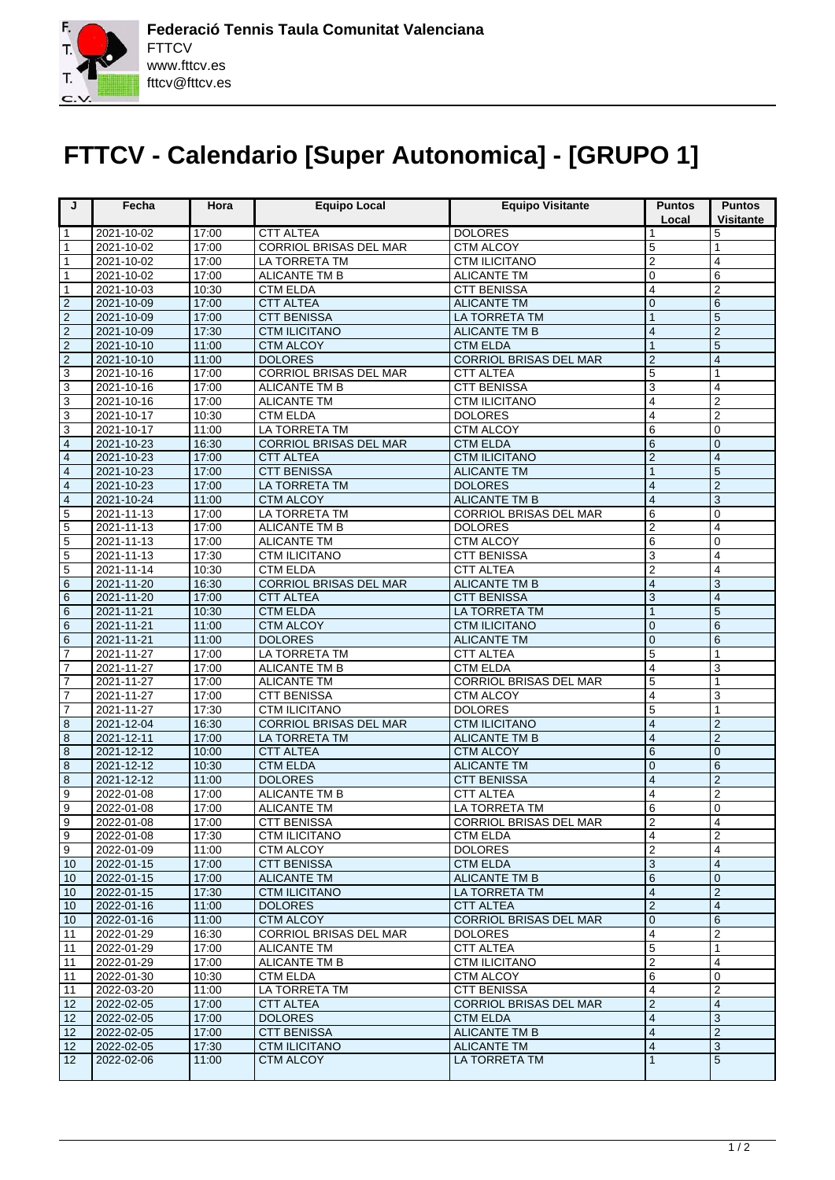F.

 $\mathbf C$ 

## **FTTCV - Calendario [Super Autonomica] - [GRUPO 1]**

| J                   | Fecha                    | Hora           | <b>Equipo Local</b>                          | <b>Equipo Visitante</b>               | <b>Puntos</b>           | <b>Puntos</b>                  |
|---------------------|--------------------------|----------------|----------------------------------------------|---------------------------------------|-------------------------|--------------------------------|
|                     |                          |                |                                              |                                       | Local                   | <b>Visitante</b>               |
| $\mathbf{1}$        | 2021-10-02               | 17:00          | <b>CTT ALTEA</b>                             | <b>DOLORES</b>                        | 1                       | 5                              |
| $\mathbf{1}$        | 2021-10-02               | 17:00          | <b>CORRIOL BRISAS DEL MAR</b>                | <b>CTM ALCOY</b>                      | 5                       | 1                              |
| $\mathbf{1}$        | 2021-10-02               | 17:00          | LA TORRETA TM                                | <b>CTM ILICITANO</b>                  | $\overline{2}$          | 4                              |
| $\mathbf{1}$        | 2021-10-02               | 17:00          | <b>ALICANTE TM B</b>                         | <b>ALICANTE TM</b>                    | $\Omega$                | 6                              |
| $\mathbf{1}$        | 2021-10-03               | 10:30          | <b>CTM ELDA</b>                              | <b>CTT BENISSA</b>                    | $\overline{4}$          | $\overline{2}$                 |
| $\overline{2}$      | 2021-10-09               | 17:00          | <b>CTT ALTEA</b>                             | <b>ALICANTE TM</b>                    | $\mathbf 0$             | 6                              |
| $\overline{2}$      | 2021-10-09               | 17:00          | <b>CTT BENISSA</b>                           | LA TORRETA TM                         | $\mathbf{1}$            | 5                              |
| $\overline{2}$      | 2021-10-09               | 17:30          | <b>CTM ILICITANO</b>                         | <b>ALICANTE TM B</b>                  | $\overline{4}$          | $\overline{2}$                 |
| $\overline{2}$      | 2021-10-10               | 11:00          | <b>CTM ALCOY</b>                             | <b>CTM ELDA</b>                       | $\overline{1}$          | 5                              |
| $\overline{2}$      | 2021-10-10               | 11:00          | <b>DOLORES</b>                               | <b>CORRIOL BRISAS DEL MAR</b>         | $\overline{2}$          | 4                              |
| $\overline{\omega}$ | 2021-10-16               | 17:00          | CORRIOL BRISAS DEL MAR                       | <b>CTT ALTEA</b>                      | 5                       | 1                              |
| $\overline{3}$      | 2021-10-16               | 17:00          | <b>ALICANTE TM B</b>                         | <b>CTT BENISSA</b>                    | 3                       | 4                              |
| 3                   | 2021-10-16               | 17:00          | <b>ALICANTE TM</b>                           | <b>CTM ILICITANO</b>                  | $\overline{\mathbf{4}}$ | $\overline{2}$                 |
| $\overline{\omega}$ | 2021-10-17               | 10:30          | <b>CTM ELDA</b>                              | <b>DOLORES</b>                        | 4                       | $\overline{2}$                 |
| $\overline{3}$      | 2021-10-17               | 11:00          | LA TORRETA TM                                | <b>CTM ALCOY</b>                      | 6                       | $\mathbf 0$                    |
| $\overline{4}$      | 2021-10-23               | 16:30          | <b>CORRIOL BRISAS DEL MAR</b>                | <b>CTM ELDA</b>                       | 6                       | $\overline{O}$                 |
| $\overline{4}$      | 2021-10-23               | 17:00          | <b>CTT ALTEA</b>                             | <b>CTM ILICITANO</b>                  | $\overline{2}$          | 4                              |
| $\overline{4}$      | 2021-10-23               | 17:00          | <b>CTT BENISSA</b>                           | <b>ALICANTE TM</b>                    | $\overline{1}$          | 5                              |
| $\boxed{4}$         | 2021-10-23               | 17:00          | <b>LA TORRETA TM</b>                         | <b>DOLORES</b>                        | $\overline{\mathbf{4}}$ | $\overline{2}$                 |
| $\overline{4}$      | 2021-10-24               | 11:00          | <b>CTM ALCOY</b>                             | <b>ALICANTE TM B</b>                  | $\overline{4}$          | 3                              |
| 5                   | 2021-11-13               | 17:00          | LA TORRETA TM                                | CORRIOL BRISAS DEL MAR                | 6                       | $\mathbf 0$                    |
| 5                   | 2021-11-13               | 17:00          | <b>ALICANTE TM B</b>                         | <b>DOLORES</b>                        | $\overline{2}$          | 4                              |
| 5                   | 2021-11-13               | 17:00          | <b>ALICANTE TM</b>                           | <b>CTM ALCOY</b>                      | 6                       | 0                              |
| $\overline{5}$      | 2021-11-13               | 17:30          | <b>CTM ILICITANO</b>                         | <b>CTT BENISSA</b>                    | 3                       | 4                              |
| $\overline{5}$      | 2021-11-14               | 10:30          | <b>CTM ELDA</b>                              | <b>CTT ALTEA</b>                      | $\overline{2}$          | 4                              |
| $\,$ 6 $\,$         | 2021-11-20               | 16:30          | <b>CORRIOL BRISAS DEL MAR</b>                | <b>ALICANTE TM B</b>                  | $\overline{4}$          | 3                              |
| $\overline{6}$      | 2021-11-20               | 17:00          | <b>CTT ALTEA</b>                             | <b>CTT BENISSA</b>                    | 3                       | $\overline{4}$                 |
| 6                   | 2021-11-21               | 10:30          | <b>CTM ELDA</b>                              | <b>LA TORRETA TM</b>                  | $\mathbf{1}$            | 5                              |
| $\,$ 6 $\,$         | 2021-11-21               | 11:00          | <b>CTM ALCOY</b>                             | <b>CTM ILICITANO</b>                  | $\overline{0}$          | 6                              |
| $\overline{6}$      | 2021-11-21               | 11:00          | <b>DOLORES</b>                               | <b>ALICANTE TM</b>                    | $\mathbf 0$             | 6                              |
| $\overline{7}$      | 2021-11-27               | 17:00          | <b>LA TORRETA TM</b>                         | <b>CTT ALTEA</b>                      | 5                       | 1                              |
| $\overline{7}$      | 2021-11-27               | 17:00          | <b>ALICANTE TM B</b>                         | <b>CTM ELDA</b>                       | $\overline{4}$          | 3                              |
| $\overline{7}$      | 2021-11-27               | 17:00          | <b>ALICANTE TM</b>                           | CORRIOL BRISAS DEL MAR                | 5                       | 1                              |
| $\overline{7}$      | 2021-11-27               | 17:00          | <b>CTT BENISSA</b>                           | <b>CTM ALCOY</b>                      | $\overline{4}$          | 3                              |
| $\overline{7}$      | 2021-11-27               | 17:30          | <b>CTM ILICITANO</b>                         | <b>DOLORES</b>                        | 5                       | 1                              |
| 8                   | 2021-12-04               | 16:30          | <b>CORRIOL BRISAS DEL MAR</b>                | <b>CTM ILICITANO</b>                  | $\overline{4}$          | $\overline{2}$                 |
| 8                   | 2021-12-11               | 17:00          | <b>LA TORRETA TM</b>                         | <b>ALICANTE TM B</b>                  | $\overline{4}$          | $\overline{2}$                 |
| $\boldsymbol{8}$    | 2021-12-12               | 10:00          | <b>CTT ALTEA</b>                             | <b>CTM ALCOY</b>                      | 6                       | $\overline{0}$                 |
| 8                   | 2021-12-12               | 10:30          | <b>CTM ELDA</b>                              | <b>ALICANTE TM</b>                    | $\overline{0}$          | 6                              |
| 8                   | 2021-12-12               | 11:00          | <b>DOLORES</b>                               | <b>CTT BENISSA</b>                    | $\overline{\mathbf{4}}$ | $\overline{2}$                 |
| 9                   | 2022-01-08               | 17:00          | <b>ALICANTE TM B</b>                         | <b>CTT ALTEA</b>                      | 4                       | $\overline{2}$                 |
| $\overline{9}$      | 2022-01-08               | 17:00          | <b>ALICANTE TM</b>                           | <b>LA TORRETA TM</b>                  | 6<br>っ                  | $\mathbf 0$                    |
| $\boxed{9}$         | 2022-01-08               | 17:00          | <b>CTT BENISSA</b>                           | <b>CORRIOL BRISAS DEL MAR</b>         |                         |                                |
| $\boxed{9}$         | 2022-01-08               | 17:30          | <b>CTM ILICITANO</b>                         | <b>CTM ELDA</b>                       | 4                       | $\overline{2}$                 |
| l 9                 | 2022-01-09               | 11:00          | CTM ALCOY                                    | <b>DOLORES</b>                        | $\overline{2}$<br>3     | 4<br>4                         |
| 10                  | 2022-01-15               | 17:00          | <b>CTT BENISSA</b>                           | <b>CTM ELDA</b>                       |                         |                                |
| 10                  | 2022-01-15               | 17:00          | <b>ALICANTE TM</b>                           | <b>ALICANTE TM B</b><br>LA TORRETA TM | $\,6$<br>$\overline{4}$ | $\mathbf 0$                    |
| $\sqrt{10}$<br> 10  | 2022-01-15<br>2022-01-16 | 17:30<br>11:00 | <b>CTM ILICITANO</b><br><b>DOLORES</b>       | <b>CTT ALTEA</b>                      | $\overline{2}$          | $\overline{2}$<br>4            |
| $ 10\rangle$        | 2022-01-16               | 11:00          | <b>CTM ALCOY</b>                             | <b>CORRIOL BRISAS DEL MAR</b>         | $\mathbf 0$             |                                |
| 11                  |                          |                |                                              |                                       | 4                       | 6                              |
| 11                  | 2022-01-29<br>2022-01-29 | 16:30<br>17:00 | CORRIOL BRISAS DEL MAR<br><b>ALICANTE TM</b> | <b>DOLORES</b><br><b>CTT ALTEA</b>    | 5                       | $\overline{c}$<br>$\mathbf{1}$ |
| $\overline{11}$     | 2022-01-29               | 17:00          | ALICANTE TM B                                | <b>CTM ILICITANO</b>                  | $\boldsymbol{2}$        | 4                              |
| $\sqrt{11}$         |                          |                |                                              | CTM ALCOY                             | 6                       |                                |
| 11                  | 2022-01-30<br>2022-03-20 | 10:30<br>11:00 | <b>CTM ELDA</b><br>LA TORRETA TM             | <b>CTT BENISSA</b>                    | 4                       | 0<br>$\overline{2}$            |
| $\sqrt{12}$         | 2022-02-05               | 17:00          | <b>CTT ALTEA</b>                             | CORRIOL BRISAS DEL MAR                | $\mathbf 2$             | $\overline{4}$                 |
| $\sqrt{12}$         | 2022-02-05               | 17:00          | <b>DOLORES</b>                               | <b>CTM ELDA</b>                       | $\overline{4}$          | 3                              |
| 12                  | 2022-02-05               | 17:00          | <b>CTT BENISSA</b>                           | <b>ALICANTE TM B</b>                  | $\overline{4}$          | $\overline{2}$                 |
| 12                  | 2022-02-05               | 17:30          | <b>CTM ILICITANO</b>                         | <b>ALICANTE TM</b>                    | 4                       | 3                              |
| 12                  | 2022-02-06               | 11:00          | <b>CTM ALCOY</b>                             | LA TORRETA TM                         | $\mathbf{1}$            | $5\phantom{.0}$                |
|                     |                          |                |                                              |                                       |                         |                                |